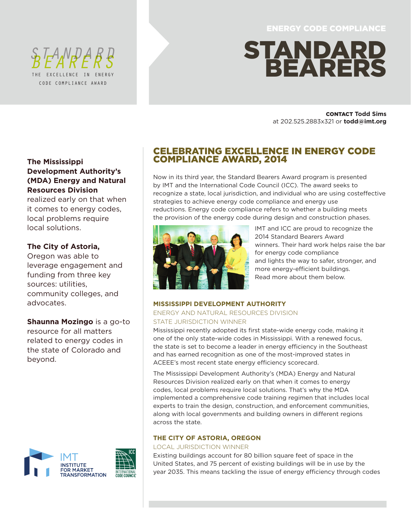ENERGY CODE COMPLIANCE

# STANDARD BEARERS

CONTACT **Todd Sims** at 202.525.2883x321 or **todd@imt.org**

# CELEBRATING EXCELLENCE IN ENERGY CODE COMPLIANCE AWARD, 2014

Now in its third year, the Standard Bearers Award program is presented by IMT and the International Code Council (ICC). The award seeks to recognize a state, local jurisdiction, and individual who are using costeffective strategies to achieve energy code compliance and energy use reductions. Energy code compliance refers to whether a building meets the provision of the energy code during design and construction phases.



IMT and ICC are proud to recognize the 2014 Standard Bearers Award winners. Their hard work helps raise the bar for energy code compliance and lights the way to safer, stronger, and more energy-efficient buildings. Read more about them below.

### **MISSISSIPPI DEVELOPMENT AUTHORITY**

## ENERGY AND NATURAL RESOURCES DIVISION STATE JURISDICTION WINNER

Mississippi recently adopted its first state-wide energy code, making it one of the only state-wide codes in Mississippi. With a renewed focus, the state is set to become a leader in energy efficiency in the Southeast and has earned recognition as one of the most-improved states in ACEEE's most recent state energy efficiency scorecard.

The Mississippi Development Authority's (MDA) Energy and Natural Resources Division realized early on that when it comes to energy codes, local problems require local solutions. That's why the MDA implemented a comprehensive code training regimen that includes local experts to train the design, construction, and enforcement communities, along with local governments and building owners in different regions across the state.

## **THE CITY OF ASTORIA, OREGON**

## LOCAL JURISDICTION WINNER

Existing buildings account for 80 billion square feet of space in the United States, and 75 percent of existing buildings will be in use by the year 2035. This means tackling the issue of energy efficiency through codes

## **The Mississippi Development Authority's (MDA) Energy and Natural Resources Division**

THE EXCELLENCE IN ENERGY CODE COMPLIANCE AWARD

EANDAR

realized early on that when it comes to energy codes, local problems require local solutions.

# **The City of Astoria,**

Oregon was able to leverage engagement and funding from three key sources: utilities, community colleges, and advocates.

**Shaunna Mozingo** is a go-to resource for all matters related to energy codes in the state of Colorado and beyond.